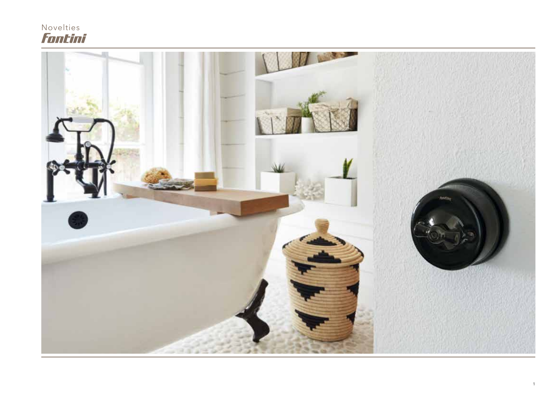## Novelties<br>*FonLini*

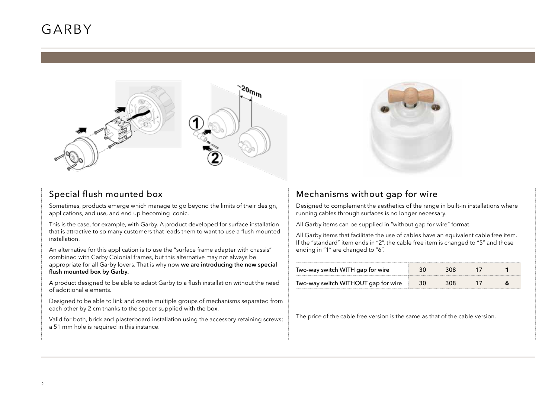### GARBY





#### Special flush mounted box

Sometimes, products emerge which manage to go beyond the limits of their design, applications, and use, and end up becoming iconic.

This is the case, for example, with Garby. A product developed for surface installation that is attractive to so many customers that leads them to want to use a flush mounted installation.

An alternative for this application is to use the "surface frame adapter with chassis" combined with Garby Colonial frames, but this alternative may not always be appropriate for all Garby lovers. That is why now **we are introducing the new special flush mounted box by Garby.**

A product designed to be able to adapt Garby to a flush installation without the need of additional elements.

Designed to be able to link and create multiple groups of mechanisms separated from each other by 2 cm thanks to the spacer supplied with the box.

Valid for both, brick and plasterboard installation using the accessory retaining screws; a 51 mm hole is required in this instance.

#### Mechanisms without gap for wire

Designed to complement the aesthetics of the range in built-in installations where running cables through surfaces is no longer necessary.

All Garby items can be supplied in "without gap for wire" format.

All Garby items that facilitate the use of cables have an equivalent cable free item. If the "standard" item ends in "2", the cable free item is changed to "5" and those ending in "1" are changed to "6".

| Two-way switch WITH gap for wire    |  |  |
|-------------------------------------|--|--|
| Two-way switch WITHOUT gap for wire |  |  |

The price of the cable free version is the same as that of the cable version.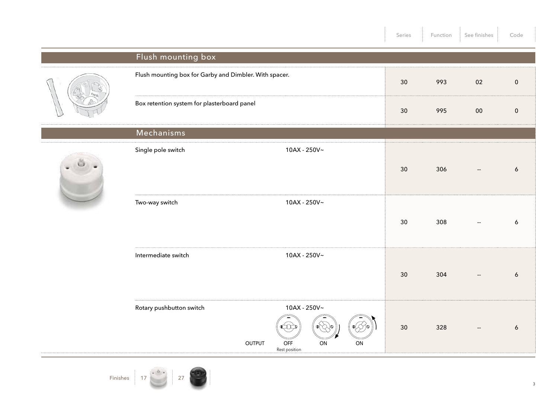|  |                                                                   |                                | Series | Function | See finishes             | Code      |
|--|-------------------------------------------------------------------|--------------------------------|--------|----------|--------------------------|-----------|
|  | Flush mounting box                                                |                                |        |          |                          |           |
|  | Flush mounting box for Garby and Dimbler. With spacer.            |                                | 30     | 993      | 02                       | $\pmb{0}$ |
|  | Box retention system for plasterboard panel                       |                                | 30     | 995      | $00\,$                   | $\pmb{0}$ |
|  | Mechanisms                                                        |                                |        |          |                          |           |
|  | Single pole switch                                                | 10AX - 250V~                   | 30     | 306      |                          | 6         |
|  | Two-way switch                                                    | 10AX - 250V~                   | 30     | 308      | $\overline{\phantom{a}}$ | 6         |
|  | Intermediate switch                                               | 10AX - 250V~                   | 30     | 304      | $\overline{\phantom{a}}$ | 6         |
|  | Rotary pushbutton switch<br>OFF<br><b>OUTPUT</b><br>Rest position | 10AX - 250V~<br>Φľ<br>ON<br>ON | 30     | 328      | $\overline{\phantom{a}}$ | 6         |



3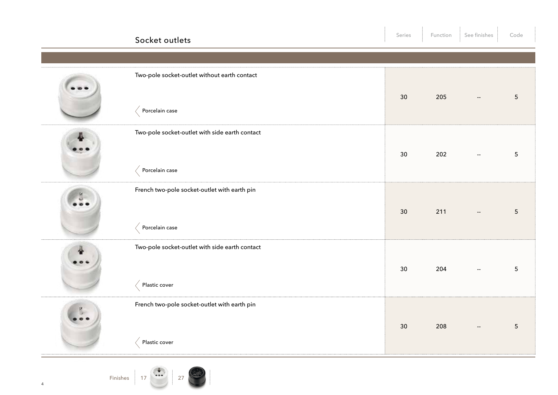| Socket outlets                                                  | Series | Function | See finishes                                  | Code            |
|-----------------------------------------------------------------|--------|----------|-----------------------------------------------|-----------------|
|                                                                 |        |          |                                               |                 |
| Two-pole socket-outlet without earth contact<br>Porcelain case  | 30     | 205      | $\overline{\phantom{a}}$                      | $5\phantom{.0}$ |
|                                                                 |        |          |                                               |                 |
| Two-pole socket-outlet with side earth contact                  | 30     | 202      | $\mathord{\hspace{1pt}\text{--}\hspace{1pt}}$ | $5\phantom{.0}$ |
| Porcelain case                                                  |        |          |                                               |                 |
| French two-pole socket-outlet with earth pin<br>Porcelain case  | 30     | 211      | $\overline{\phantom{a}}$                      | $5\phantom{.}$  |
| Two-pole socket-outlet with side earth contact<br>Plastic cover | 30     | 204      |                                               | $5\phantom{.0}$ |
| French two-pole socket-outlet with earth pin<br>Plastic cover   | 30     | 208      |                                               | $5\phantom{.0}$ |

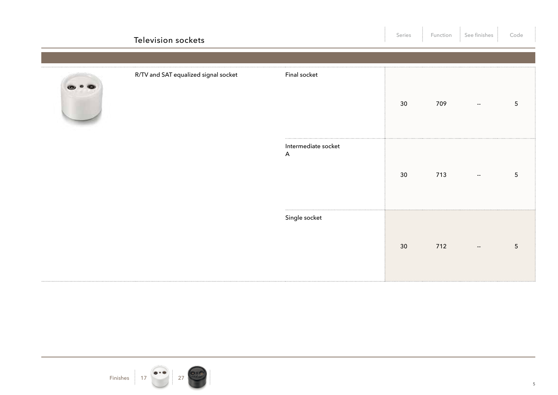| Television sockets                   |                                                  | Series | Function | See finishes                                  | Code            |
|--------------------------------------|--------------------------------------------------|--------|----------|-----------------------------------------------|-----------------|
|                                      |                                                  |        |          |                                               |                 |
| R/TV and SAT equalized signal socket | Final socket                                     | 30     | 709      | $\sim$                                        | $\overline{5}$  |
|                                      | Intermediate socket<br>$\boldsymbol{\mathsf{A}}$ | 30     | 713      | $\mathord{\hspace{1pt}\text{--}\hspace{1pt}}$ | $5\phantom{.0}$ |
|                                      | Single socket                                    | 30     | 712      | $\mathord{\hspace{1pt}\text{--}\hspace{1pt}}$ | $5\phantom{.0}$ |

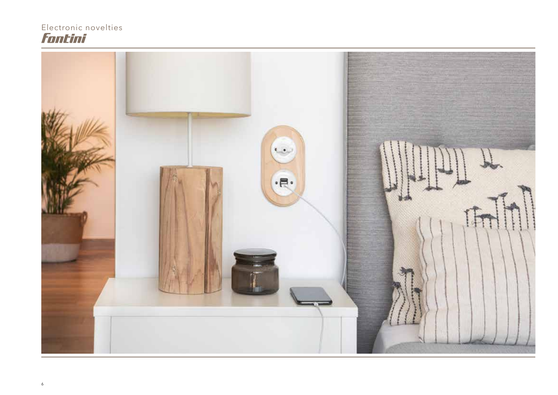# Electronic novelties<br>Font inf

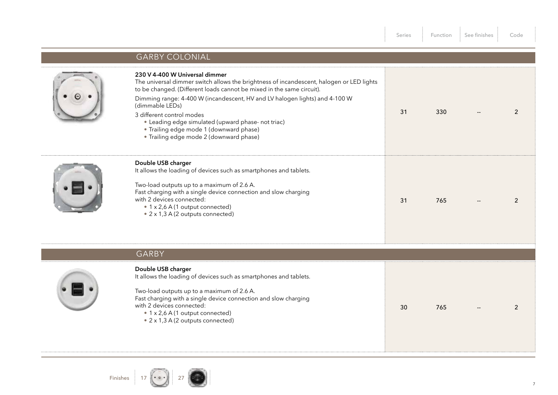|                                                                                                                                                                                                                                                                                                                                                                                                                                                                                | Series | Function | See finishes | Code           |
|--------------------------------------------------------------------------------------------------------------------------------------------------------------------------------------------------------------------------------------------------------------------------------------------------------------------------------------------------------------------------------------------------------------------------------------------------------------------------------|--------|----------|--------------|----------------|
| <b>GARBY COLONIAL</b>                                                                                                                                                                                                                                                                                                                                                                                                                                                          |        |          |              |                |
| 230 V 4-400 W Universal dimmer<br>The universal dimmer switch allows the brightness of incandescent, halogen or LED lights<br>to be changed. (Different loads cannot be mixed in the same circuit).<br>Dimming range: 4-400 W (incandescent, HV and LV halogen lights) and 4-100 W<br>(dimmable LEDs)<br>3 different control modes<br>• Leading edge simulated (upward phase- not triac)<br>· Trailing edge mode 1 (downward phase)<br>· Trailing edge mode 2 (downward phase) | 31     | 330      |              | 2              |
| Double USB charger<br>It allows the loading of devices such as smartphones and tablets.<br>Two-load outputs up to a maximum of 2.6 A.<br>Fast charging with a single device connection and slow charging<br>with 2 devices connected:<br>• 1 x 2,6 A (1 output connected)<br>• 2 x 1,3 A (2 outputs connected)                                                                                                                                                                 | 31     | 765      |              | $\overline{2}$ |
| <b>GARBY</b>                                                                                                                                                                                                                                                                                                                                                                                                                                                                   |        |          |              |                |
| Double USB charger<br>It allows the loading of devices such as smartphones and tablets.<br>Two-load outputs up to a maximum of 2.6 A.<br>Fast charging with a single device connection and slow charging<br>with 2 devices connected:<br>• 1 x 2,6 A (1 output connected)<br>• 2 x 1,3 A (2 outputs connected)                                                                                                                                                                 | 30     | 765      |              | 2              |